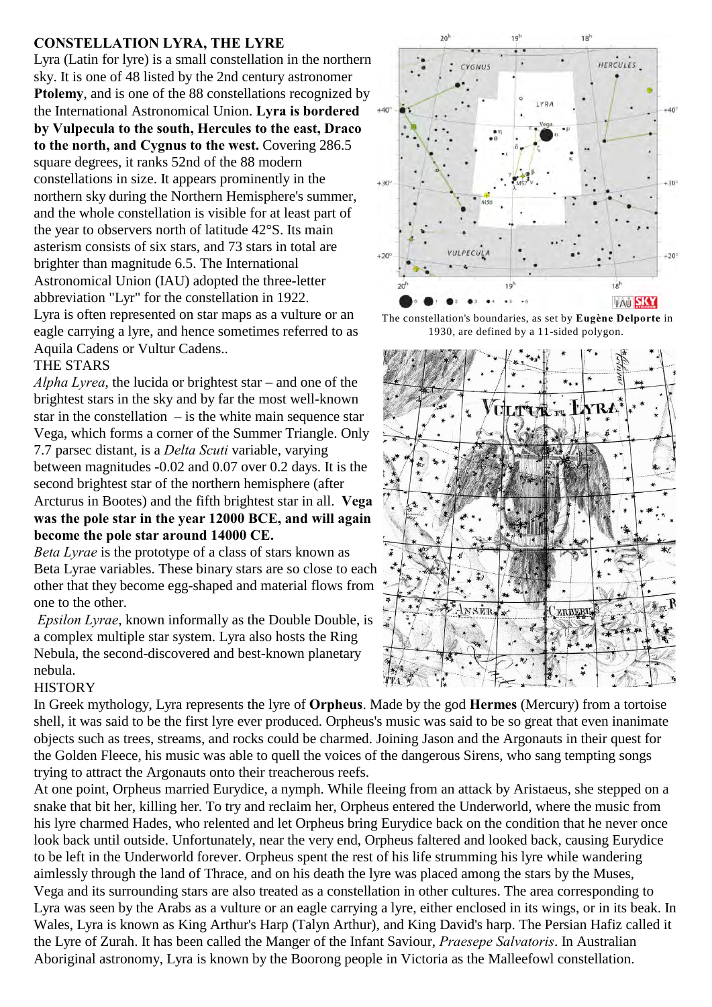## **CONSTELLATION LYRA, THE LYRE**

Lyra (Latin for lyre) is a small constellation in the northern sky. It is one of 48 listed by the 2nd century astronomer **Ptolemy**, and is one of the 88 constellations recognized by the International Astronomical Union. **Lyra is bordered by Vulpecula to the south, Hercules to the east, Draco to the north, and Cygnus to the west.** Covering 286.5 square degrees, it ranks 52nd of the 88 modern constellations in size. It appears prominently in the northern sky during the Northern Hemisphere's summer, and the whole constellation is visible for at least part of the year to observers north of latitude 42°S. Its main asterism consists of six stars, and 73 stars in total are brighter than magnitude 6.5. The International Astronomical Union (IAU) adopted the three-letter abbreviation "Lyr" for the constellation in 1922. Lyra is often represented on star maps as a vulture or an eagle carrying a lyre, and hence sometimes referred to as Aquila Cadens or Vultur Cadens..

### THE STARS

*Alpha Lyrea*, the lucida or brightest star – and one of the brightest stars in the sky and by far the most well-known star in the constellation  $-$  is the white main sequence star Vega, which forms a corner of the Summer Triangle. Only 7.7 parsec distant, is a *Delta Scuti* variable, varying between magnitudes -0.02 and 0.07 over 0.2 days. It is the second brightest star of the northern hemisphere (after Arcturus in Bootes) and the fifth brightest star in all. **Vega was the pole star in the year 12000 BCE, and will again become the pole star around 14000 CE.**

*Beta Lyrae* is the prototype of a class of stars known as Beta Lyrae variables. These binary stars are so close to each other that they become egg-shaped and material flows from one to the other.

*Epsilon Lyrae*, known informally as the Double Double, is a complex multiple star system. Lyra also hosts the Ring Nebula, the second-discovered and best-known planetary nebula.

#### **HISTORY**

In Greek mythology, Lyra represents the lyre of **Orpheus**. Made by the god **Hermes** (Mercury) from a tortoise shell, it was said to be the first lyre ever produced. Orpheus's music was said to be so great that even inanimate objects such as trees, streams, and rocks could be charmed. Joining Jason and the Argonauts in their quest for the Golden Fleece, his music was able to quell the voices of the dangerous Sirens, who sang tempting songs trying to attract the Argonauts onto their treacherous reefs.

At one point, Orpheus married Eurydice, a nymph. While fleeing from an attack by Aristaeus, she stepped on a snake that bit her, killing her. To try and reclaim her, Orpheus entered the Underworld, where the music from his lyre charmed Hades, who relented and let Orpheus bring Eurydice back on the condition that he never once look back until outside. Unfortunately, near the very end, Orpheus faltered and looked back, causing Eurydice to be left in the Underworld forever. Orpheus spent the rest of his life strumming his lyre while wandering aimlessly through the land of Thrace, and on his death the lyre was placed among the stars by the Muses, Vega and its surrounding stars are also treated as a constellation in other cultures. The area corresponding to Lyra was seen by the Arabs as a vulture or an eagle carrying a lyre, either enclosed in its wings, or in its beak. In Wales, Lyra is known as King Arthur's Harp (Talyn Arthur), and King David's harp. The Persian Hafiz called it the Lyre of Zurah. It has been called the Manger of the Infant Saviour, *Praesepe Salvatoris*. In Australian Aboriginal astronomy, Lyra is known by the Boorong people in Victoria as the Malleefowl constellation.



The constellation's boundaries, as set by **Eugène Delporte** in 1930, are defined by a 11-sided polygon.